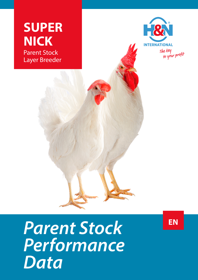



## *Parent Stock Performance Data*

**EN**